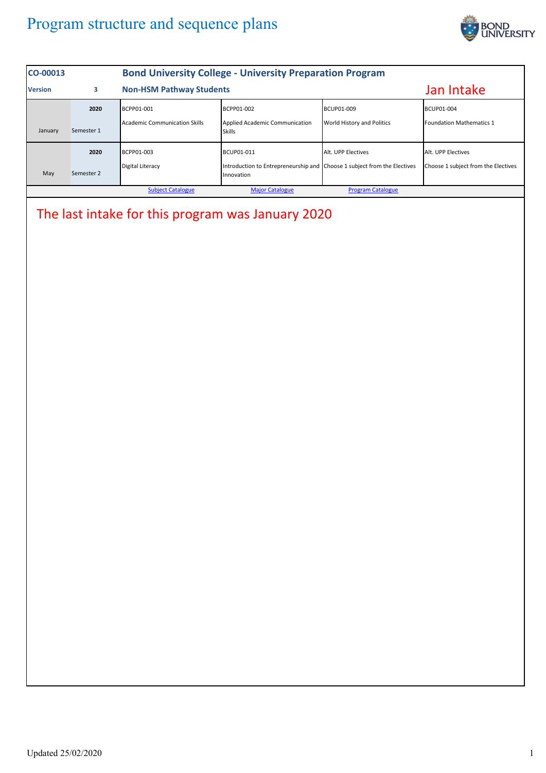## Program structure and sequence plans



| CO-00013                                          | <b>Bond University College - University Preparation Program</b> |                                 |                                                                                        |                            |                                     |  |  |  |
|---------------------------------------------------|-----------------------------------------------------------------|---------------------------------|----------------------------------------------------------------------------------------|----------------------------|-------------------------------------|--|--|--|
| <b>Version</b>                                    | 3                                                               | <b>Non-HSM Pathway Students</b> |                                                                                        |                            | Jan Intake                          |  |  |  |
|                                                   | 2020                                                            | BCPP01-001                      | BCPP01-002                                                                             | BCUP01-009                 | BCUP01-004                          |  |  |  |
| January                                           | Semester 1                                                      | Academic Communication Skills   | Applied Academic Communication<br><b>Skills</b>                                        | World History and Politics | Foundation Mathematics 1            |  |  |  |
|                                                   | 2020                                                            | BCPP01-003                      | BCUP01-011                                                                             | Alt. UPP Electives         | Alt. UPP Electives                  |  |  |  |
| May                                               | Semester 2                                                      | <b>Digital Literacy</b>         | Introduction to Entrepreneurship and Choose 1 subject from the Electives<br>Innovation |                            | Choose 1 subject from the Electives |  |  |  |
|                                                   |                                                                 | <b>Subject Catalogue</b>        | <b>Major Catalogue</b>                                                                 | <b>Program Catalogue</b>   |                                     |  |  |  |
| The last intake for this program was January 2020 |                                                                 |                                 |                                                                                        |                            |                                     |  |  |  |